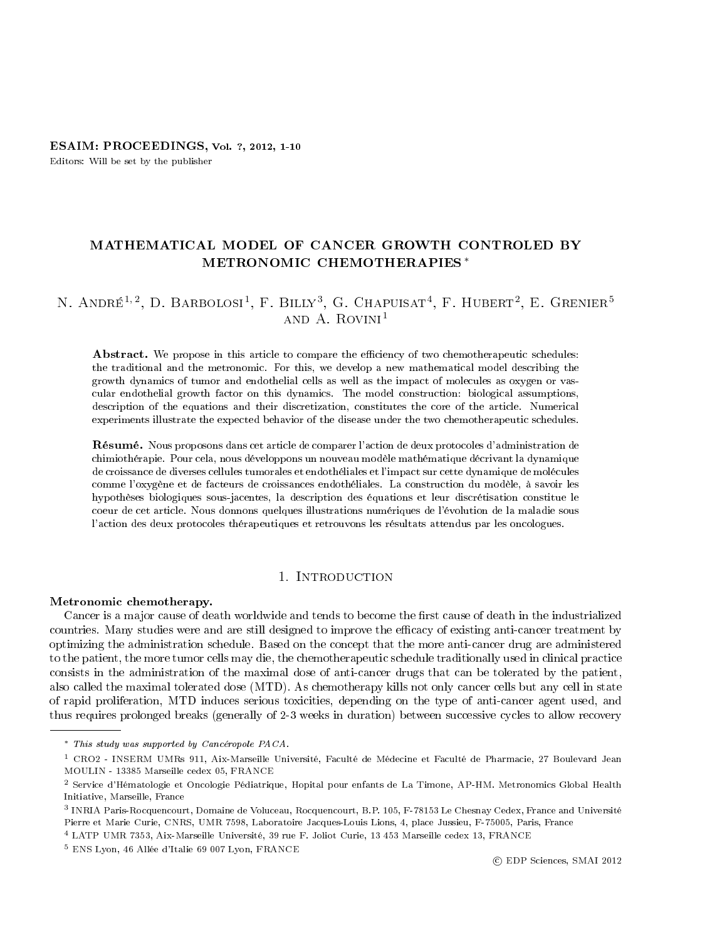Editors: Will be set by the publisher

# MATHEMATICAL MODEL OF CANCER GROWTH CONTROLED BY METRONOMIC CHEMOTHERAPIES <sup>∗</sup>

# N. ANDRÉ<sup>1,2</sup>, D. BARBOLOSI<sup>1</sup>, F. BILLY<sup>3</sup>, G. CHAPUISAT<sup>4</sup>, F. HUBERT<sup>2</sup>, E. GRENIER<sup>5</sup> AND A. ROVINI $<sup>1</sup>$ </sup>

Abstract. We propose in this article to compare the efficiency of two chemotherapeutic schedules: the traditional and the metronomic. For this, we develop a new mathematical model describing the growth dynamics of tumor and endothelial cells as well as the impact of molecules as oxygen or vascular endothelial growth factor on this dynamics. The model construction: biological assumptions, description of the equations and their discretization, constitutes the core of the article. Numerical experiments illustrate the expected behavior of the disease under the two chemotherapeutic schedules.

Résumé. Nous proposons dans cet article de comparer l'action de deux protocoles d'administration de chimiothérapie. Pour cela, nous développons un nouveau modèle mathématique décrivant la dynamique de croissance de diverses cellules tumorales et endothéliales et l'impact sur cette dynamique de molécules comme l'oxygène et de facteurs de croissances endothéliales. La construction du modèle, à savoir les hypothèses biologiques sous-jacentes, la description des équations et leur discrétisation constitue le coeur de cet article. Nous donnons quelques illustrations numériques de l'évolution de la maladie sous l'action des deux protocoles thérapeutiques et retrouvons les résultats attendus par les oncologues.

# 1. Introduction

# Metronomic chemotherapy.

Cancer is a major cause of death worldwide and tends to become the first cause of death in the industrialized countries. Many studies were and are still designed to improve the efficacy of existing anti-cancer treatment by optimizing the administration schedule. Based on the concept that the more anti-cancer drug are administered to the patient, the more tumor cells may die, the chemotherapeutic schedule traditionally used in clinical practice consists in the administration of the maximal dose of anti-cancer drugs that can be tolerated by the patient, also called the maximal tolerated dose (MTD). As chemotherapy kills not only cancer cells but any cell in state of rapid proliferation, MTD induces serious toxicities, depending on the type of anti-cancer agent used, and thus requires prolonged breaks (generally of 2-3 weeks in duration) between successive cycles to allow recovery

<sup>∗</sup> This study was supported by Cancéropole PACA.

<sup>1</sup> CRO2 - INSERM UMRs 911, Aix-Marseille Université, Faculté de Médecine et Faculté de Pharmacie, 27 Boulevard Jean MOULIN - 13385 Marseille cedex 05, FRANCE

<sup>2</sup> Service d'Hématologie et Oncologie Pédiatrique, Hopital pour enfants de La Timone, AP-HM. Metronomics Global Health Initiative, Marseille, France

 $^3$  INRIA Paris-Rocquencourt, Domaine de Voluceau, Rocquencourt, B.P. 105, F-78153 Le Chesnay Cedex, France and Université Pierre et Marie Curie, CNRS, UMR 7598, Laboratoire Jacques-Louis Lions, 4, place Jussieu, F-75005, Paris, France

<sup>4</sup> LATP UMR 7353, Aix-Marseille Université, 39 rue F. Joliot Curie, 13 453 Marseille cedex 13, FRANCE

<sup>5</sup> ENS Lyon, 46 Allée d'Italie 69 007 Lyon, FRANCE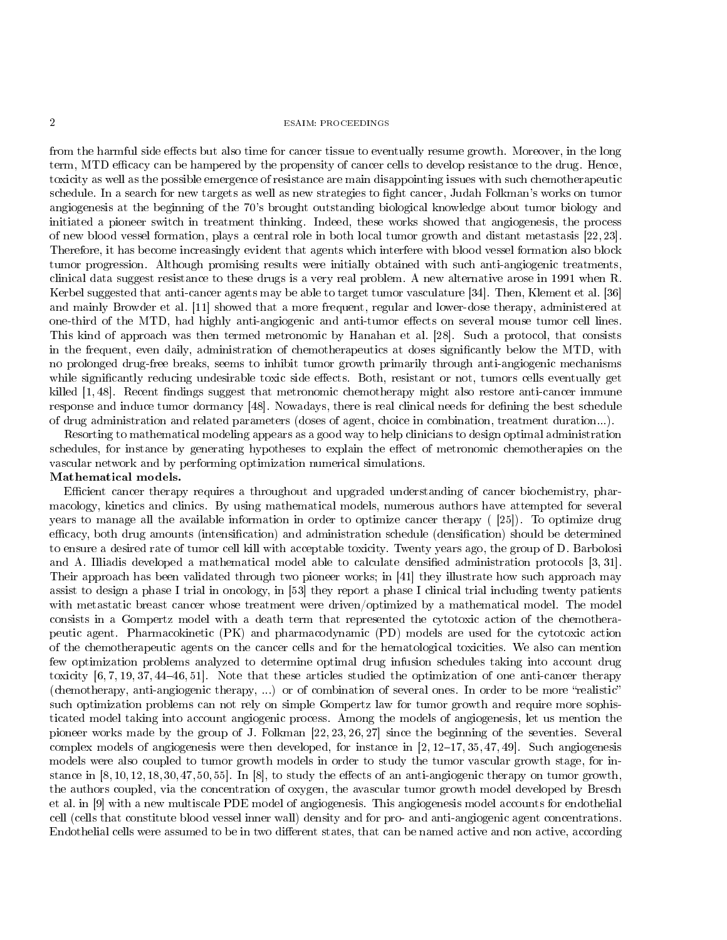from the harmful side effects but also time for cancer tissue to eventually resume growth. Moreover, in the long term, MTD efficacy can be hampered by the propensity of cancer cells to develop resistance to the drug. Hence, toxicity as well as the possible emergence of resistance are main disappointing issues with such chemotherapeutic schedule. In a search for new targets as well as new strategies to fight cancer, Judah Folkman's works on tumor angiogenesis at the beginning of the 70's brought outstanding biological knowledge about tumor biology and initiated a pioneer switch in treatment thinking. Indeed, these works showed that angiogenesis, the process of new blood vessel formation, plays a central role in both local tumor growth and distant metastasis [22, 23]. Therefore, it has become increasingly evident that agents which interfere with blood vessel formation also block tumor progression. Although promising results were initially obtained with such anti-angiogenic treatments, clinical data suggest resistance to these drugs is a very real problem. A new alternative arose in 1991 when R. Kerbel suggested that anti-cancer agents may be able to target tumor vasculature [34]. Then, Klement et al. [36] and mainly Browder et al. [11] showed that a more frequent, regular and lower-dose therapy, administered at one-third of the MTD, had highly anti-angiogenic and anti-tumor effects on several mouse tumor cell lines. This kind of approach was then termed metronomic by Hanahan et al. [28]. Such a protocol, that consists in the frequent, even daily, administration of chemotherapeutics at doses signicantly below the MTD, with no prolonged drug-free breaks, seems to inhibit tumor growth primarily through anti-angiogenic mechanisms while significantly reducing undesirable toxic side effects. Both, resistant or not, tumors cells eventually get killed [1, 48]. Recent findings suggest that metronomic chemotherapy might also restore anti-cancer immune response and induce tumor dormancy [48]. Nowadays, there is real clinical needs for dening the best schedule of drug administration and related parameters (doses of agent, choice in combination, treatment duration...).

Resorting to mathematical modeling appears as a good way to help clinicians to design optimal administration schedules, for instance by generating hypotheses to explain the effect of metronomic chemotherapies on the vascular network and by performing optimization numerical simulations.

# Mathematical models.

Efficient cancer therapy requires a throughout and upgraded understanding of cancer biochemistry, pharmacology, kinetics and clinics. By using mathematical models, numerous authors have attempted for several years to manage all the available information in order to optimize cancer therapy ( [25]). To optimize drug efficacy, both drug amounts (intensification) and administration schedule (densification) should be determined to ensure a desired rate of tumor cell kill with acceptable toxicity. Twenty years ago, the group of D. Barbolosi and A. Illiadis developed a mathematical model able to calculate densified administration protocols [3, 31]. Their approach has been validated through two pioneer works; in [41] they illustrate how such approach may assist to design a phase I trial in oncology, in [53] they report a phase I clinical trial including twenty patients with metastatic breast cancer whose treatment were driven/optimized by a mathematical model. The model consists in a Gompertz model with a death term that represented the cytotoxic action of the chemotherapeutic agent. Pharmacokinetic (PK) and pharmacodynamic (PD) models are used for the cytotoxic action of the chemotherapeutic agents on the cancer cells and for the hematological toxicities. We also can mention few optimization problems analyzed to determine optimal drug infusion schedules taking into account drug toxicity [6, 7, 19, 37, 4446, 51]. Note that these articles studied the optimization of one anti-cancer therapy (chemotherapy, anti-angiogenic therapy, ...) or of combination of several ones. In order to be more "realistic" such optimization problems can not rely on simple Gompertz law for tumor growth and require more sophisticated model taking into account angiogenic process. Among the models of angiogenesis, let us mention the pioneer works made by the group of J. Folkman [22, 23, 26, 27] since the beginning of the seventies. Several complex models of angiogenesis were then developed, for instance in  $[2, 12-17, 35, 47, 49]$ . Such angiogenesis models were also coupled to tumor growth models in order to study the tumor vascular growth stage, for instance in  $[8, 10, 12, 18, 30, 47, 50, 55]$ . In  $[8]$ , to study the effects of an anti-angiogenic therapy on tumor growth, the authors coupled, via the concentration of oxygen, the avascular tumor growth model developed by Bresch et al. in [9] with a new multiscale PDE model of angiogenesis. This angiogenesis model accounts for endothelial cell (cells that constitute blood vessel inner wall) density and for pro- and anti-angiogenic agent concentrations. Endothelial cells were assumed to be in two different states, that can be named active and non active, according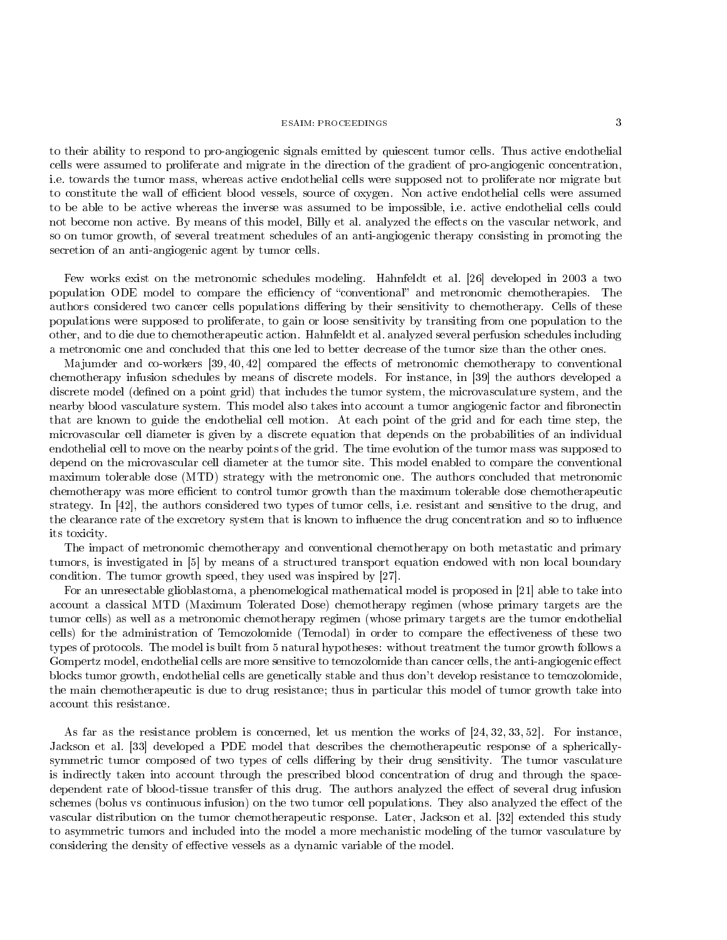to their ability to respond to pro-angiogenic signals emitted by quiescent tumor cells. Thus active endothelial cells were assumed to proliferate and migrate in the direction of the gradient of pro-angiogenic concentration, i.e. towards the tumor mass, whereas active endothelial cells were supposed not to proliferate nor migrate but to constitute the wall of efficient blood vessels, source of oxygen. Non active endothelial cells were assumed to be able to be active whereas the inverse was assumed to be impossible, i.e. active endothelial cells could not become non active. By means of this model, Billy et al. analyzed the effects on the vascular network, and so on tumor growth, of several treatment schedules of an anti-angiogenic therapy consisting in promoting the secretion of an anti-angiogenic agent by tumor cells.

Few works exist on the metronomic schedules modeling. Hahnfeldt et al. [26] developed in 2003 a two population ODE model to compare the efficiency of "conventional" and metronomic chemotherapies. The authors considered two cancer cells populations differing by their sensitivity to chemotherapy. Cells of these populations were supposed to proliferate, to gain or loose sensitivity by transiting from one population to the other, and to die due to chemotherapeutic action. Hahnfeldt et al. analyzed several perfusion schedules including a metronomic one and concluded that this one led to better decrease of the tumor size than the other ones.

Majumder and co-workers [39, 40, 42] compared the effects of metronomic chemotherapy to conventional chemotherapy infusion schedules by means of discrete models. For instance, in [39] the authors developed a discrete model (defined on a point grid) that includes the tumor system, the microvasculature system, and the nearby blood vasculature system. This model also takes into account a tumor angiogenic factor and bronectin that are known to guide the endothelial cell motion. At each point of the grid and for each time step, the microvascular cell diameter is given by a discrete equation that depends on the probabilities of an individual endothelial cell to move on the nearby points of the grid. The time evolution of the tumor mass was supposed to depend on the microvascular cell diameter at the tumor site. This model enabled to compare the conventional maximum tolerable dose (MTD) strategy with the metronomic one. The authors concluded that metronomic chemotherapy was more efficient to control tumor growth than the maximum tolerable dose chemotherapeutic strategy. In [42], the authors considered two types of tumor cells, i.e. resistant and sensitive to the drug, and the clearance rate of the excretory system that is known to influence the drug concentration and so to influence its toxicity.

The impact of metronomic chemotherapy and conventional chemotherapy on both metastatic and primary tumors, is investigated in [5] by means of a structured transport equation endowed with non local boundary condition. The tumor growth speed, they used was inspired by [27].

For an unresectable glioblastoma, a phenomelogical mathematical model is proposed in [21] able to take into account a classical MTD (Maximum Tolerated Dose) chemotherapy regimen (whose primary targets are the tumor cells) as well as a metronomic chemotherapy regimen (whose primary targets are the tumor endothelial cells) for the administration of Temozolomide (Temodal) in order to compare the effectiveness of these two types of protocols. The model is built from 5 natural hypotheses: without treatment the tumor growth follows a Gompertz model, endothelial cells are more sensitive to temozolomide than cancer cells, the anti-angiogenic effect blocks tumor growth, endothelial cells are genetically stable and thus don't develop resistance to temozolomide, the main chemotherapeutic is due to drug resistance; thus in particular this model of tumor growth take into account this resistance.

As far as the resistance problem is concerned, let us mention the works of [24, 32, 33, 52]. For instance, Jackson et al. [33] developed a PDE model that describes the chemotherapeutic response of a sphericallysymmetric tumor composed of two types of cells differing by their drug sensitivity. The tumor vasculature is indirectly taken into account through the prescribed blood concentration of drug and through the spacedependent rate of blood-tissue transfer of this drug. The authors analyzed the effect of several drug infusion schemes (bolus vs continuous infusion) on the two tumor cell populations. They also analyzed the effect of the vascular distribution on the tumor chemotherapeutic response. Later, Jackson et al. [32] extended this study to asymmetric tumors and included into the model a more mechanistic modeling of the tumor vasculature by considering the density of effective vessels as a dynamic variable of the model.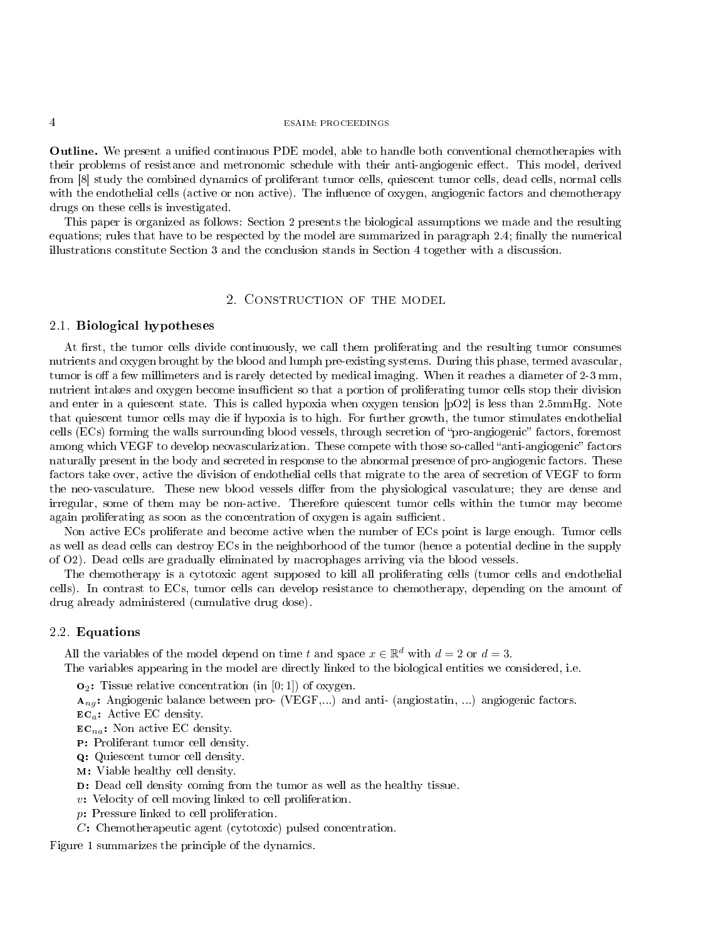**Outline.** We present a unified continuous PDE model, able to handle both conventional chemotherapies with their problems of resistance and metronomic schedule with their anti-angiogenic effect. This model, derived from [8] study the combined dynamics of proliferant tumor cells, quiescent tumor cells, dead cells, normal cells with the endothelial cells (active or non active). The influence of oxygen, angiogenic factors and chemotherapy drugs on these cells is investigated.

This paper is organized as follows: Section 2 presents the biological assumptions we made and the resulting equations; rules that have to be respected by the model are summarized in paragraph 2.4; finally the numerical illustrations constitute Section 3 and the conclusion stands in Section 4 together with a discussion.

# 2. Construction of the model

# 2.1. Biological hypotheses

At first, the tumor cells divide continuously, we call them proliferating and the resulting tumor consumes nutrients and oxygen brought by the blood and lumph pre-existing systems. During this phase, termed avascular, tumor is off a few millimeters and is rarely detected by medical imaging. When it reaches a diameter of 2-3 mm, nutrient intakes and oxygen become insufficient so that a portion of proliferating tumor cells stop their division and enter in a quiescent state. This is called hypoxia when oxygen tension [pO2] is less than 2.5mmHg. Note that quiescent tumor cells may die if hypoxia is to high. For further growth, the tumor stimulates endothelial cells (ECs) forming the walls surrounding blood vessels, through secretion of "pro-angiogenic" factors, foremost among which VEGF to develop neovascularization. These compete with those so-called "anti-angiogenic" factors naturally present in the body and secreted in response to the abnormal presence of pro-angiogenic factors. These factors take over, active the division of endothelial cells that migrate to the area of secretion of VEGF to form the neo-vasculature. These new blood vessels differ from the physiological vasculature; they are dense and irregular, some of them may be non-active. Therefore quiescent tumor cells within the tumor may become again proliferating as soon as the concentration of oxygen is again sufficient.

Non active ECs proliferate and become active when the number of ECs point is large enough. Tumor cells as well as dead cells can destroy ECs in the neighborhood of the tumor (hence a potential decline in the supply of O2). Dead cells are gradually eliminated by macrophages arriving via the blood vessels.

The chemotherapy is a cytotoxic agent supposed to kill all proliferating cells (tumor cells and endothelial cells). In contrast to ECs, tumor cells can develop resistance to chemotherapy, depending on the amount of drug already administered (cumulative drug dose).

# 2.2. Equations

All the variables of the model depend on time t and space  $x \in \mathbb{R}^d$  with  $d = 2$  or  $d = 3$ .

The variables appearing in the model are directly linked to the biological entities we considered, i.e.

 $o_2$ : Tissue relative concentration (in [0; 1]) of oxygen.

 $A_{na}$ : Angiogenic balance between pro- (VEGF,...) and anti- (angiostatin, ...) angiogenic factors.  $EC_a$ : Active EC density.

 $EC_{na}$ : Non active EC density.

- p: Proliferant tumor cell density.
- q: Quiescent tumor cell density.
- m: Viable healthy cell density.
- D: Dead cell density coming from the tumor as well as the healthy tissue.
- v: Velocity of cell moving linked to cell proliferation.
- p: Pressure linked to cell proliferation.
- C: Chemotherapeutic agent (cytotoxic) pulsed concentration.

Figure 1 summarizes the principle of the dynamics.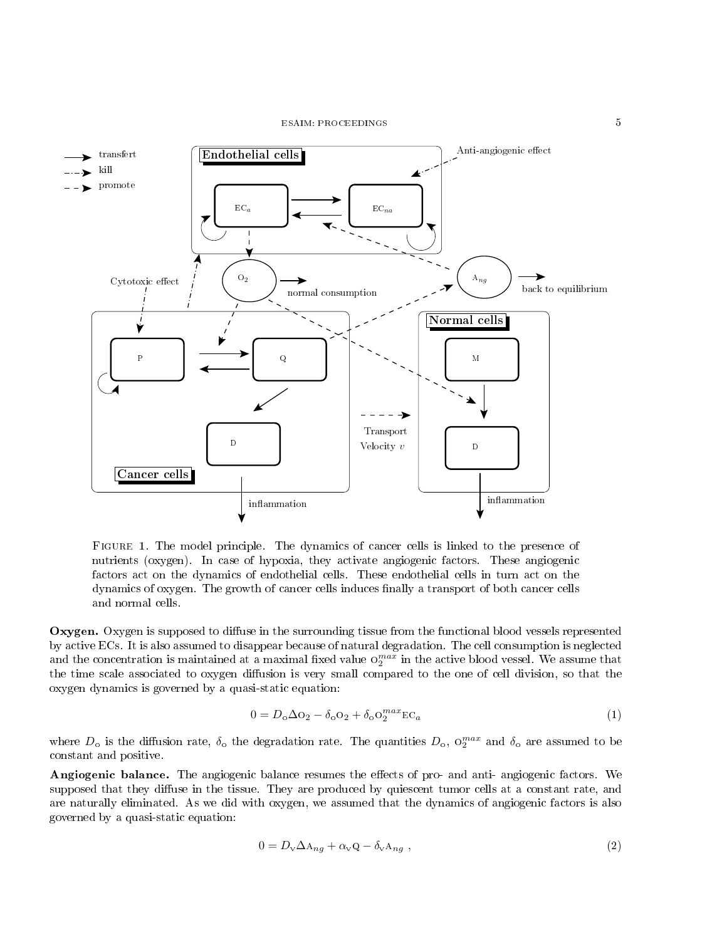

Figure 1. The model principle. The dynamics of cancer cells is linked to the presence of nutrients (oxygen). In case of hypoxia, they activate angiogenic factors. These angiogenic factors act on the dynamics of endothelial cells. These endothelial cells in turn act on the dynamics of oxygen. The growth of cancer cells induces finally a transport of both cancer cells and normal cells.

Oxygen. Oxygen is supposed to diffuse in the surrounding tissue from the functional blood vessels represented by active ECs. It is also assumed to disappear because of natural degradation. The cell consumption is neglected and the concentration is maintained at a maximal fixed value  $\mathcal{O}^{max}_{2}$  in the active blood vessel. We assume that the time scale associated to oxygen diffusion is very small compared to the one of cell division, so that the oxygen dynamics is governed by a quasi-static equation:

$$
0 = D_0 \Delta \mathbf{O}_2 - \delta_0 \mathbf{O}_2 + \delta_0 \mathbf{O}_2^{max} \mathbf{E} \mathbf{C}_a \tag{1}
$$

where  $D_0$  is the diffusion rate,  $\delta_0$  the degradation rate. The quantities  $D_0$ ,  $O_2^{max}$  and  $\delta_0$  are assumed to be constant and positive.

Angiogenic balance. The angiogenic balance resumes the effects of pro- and anti- angiogenic factors. We supposed that they diffuse in the tissue. They are produced by quiescent tumor cells at a constant rate, and are naturally eliminated. As we did with oxygen, we assumed that the dynamics of angiogenic factors is also governed by a quasi-static equation:

$$
0 = D_{\mathbf{v}} \Delta \mathbf{A}_{ng} + \alpha_{\mathbf{v}} \mathbf{Q} - \delta_{\mathbf{v}} \mathbf{A}_{ng} , \qquad (2)
$$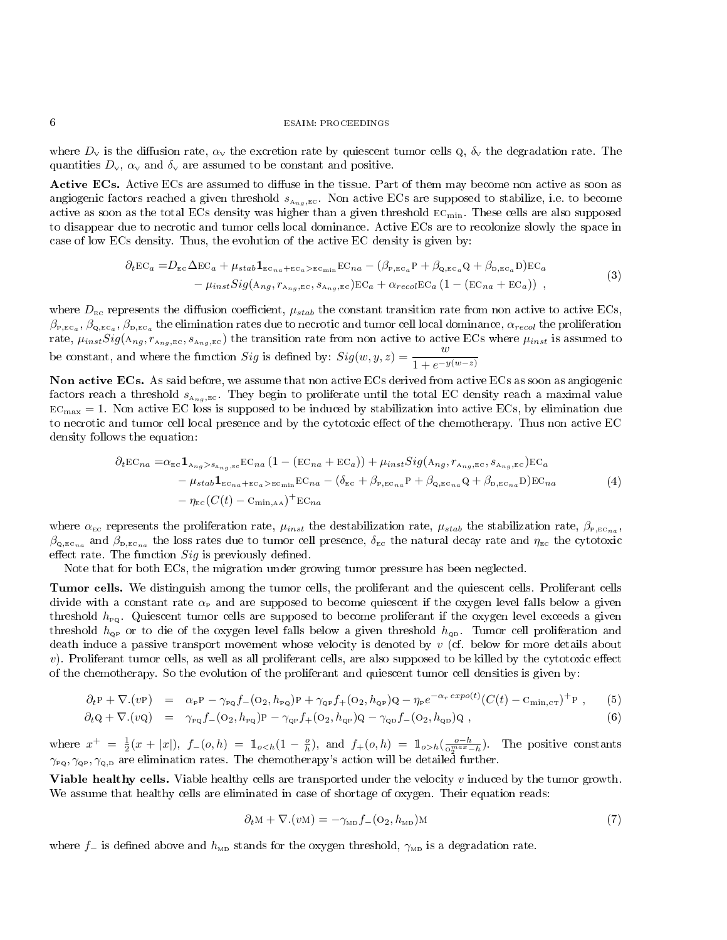where  $D_v$  is the diffusion rate,  $\alpha_v$  the excretion rate by quiescent tumor cells Q,  $\delta_v$  the degradation rate. The quantities  $D_{v}$ ,  $\alpha_{v}$  and  $\delta_{v}$  are assumed to be constant and positive.

**Active ECs.** Active ECs are assumed to diffuse in the tissue. Part of them may become non active as soon as angiogenic factors reached a given threshold  $s_{A_{ng},E}$ . Non active ECs are supposed to stabilize, i.e. to become active as soon as the total ECs density was higher than a given threshold ecmin. These cells are also supposed to disappear due to necrotic and tumor cells local dominance. Active ECs are to recolonize slowly the space in case of low ECs density. Thus, the evolution of the active EC density is given by:

$$
\partial_t \mathbf{E} \mathbf{C}_a = D_{\mathbf{E} \mathbf{C}} \Delta \mathbf{E} \mathbf{C}_a + \mu_{stab} \mathbf{1}_{\mathbf{E} \mathbf{C}_{na} + \mathbf{E} \mathbf{C}_a > \mathbf{E} \mathbf{C}_{\min}} \mathbf{E} \mathbf{C}_{na} - (\beta_{\mathbf{P}, \mathbf{E} \mathbf{C}_a} \mathbf{P} + \beta_{\mathbf{Q}, \mathbf{E} \mathbf{C}_a} \mathbf{Q} + \beta_{\mathbf{D}, \mathbf{E} \mathbf{C}_a} \mathbf{D}) \mathbf{E} \mathbf{C}_a - \mu_{inst} \mathbf{S}ig(\mathbf{A}_{ng}, r_{\mathbf{A}_{ng}, \mathbf{E} \mathbf{C}}, \mathbf{S}_{\mathbf{A}_{ng}, \mathbf{E} \mathbf{C}}) \mathbf{E} \mathbf{C}_a + \alpha_{recol} \mathbf{E} \mathbf{C}_a (1 - (\mathbf{E} \mathbf{C}_{na} + \mathbf{E} \mathbf{C}_a)) ,
$$
\n(3)

where  $D_{\text{EC}}$  represents the diffusion coefficient,  $\mu_{stab}$  the constant transition rate from non active to active ECs,  $\beta_{\rm p,EC_a},\beta_{\rm Q,EC_a},\beta_{\rm p,EC_a}$  the elimination rates due to necrotic and tumor cell local dominance,  $\alpha_{recol}$  the proliferation rate,  $\mu_{inst}\tilde{Sig(A_{ng},r_{A_{ng},EC},s_{A_{ng},EC})}$  the transition rate from non active to active ECs where  $\mu_{inst}$  is assumed to be constant, and where the function Sig is defined by:  $Sig(w, y, z) = \frac{w}{1 + e^{-y(w-z)}}$ 

Non active ECs. As said before, we assume that non active ECs derived from active ECs as soon as angiogenic factors reach a threshold  $s_{A_{ng},EC}$ . They begin to proliferate until the total EC density reach a maximal value  $EC_{\text{max}} = 1$ . Non active EC loss is supposed to be induced by stabilization into active ECs, by elimination due to necrotic and tumor cell local presence and by the cytotoxic effect of the chemotherapy. Thus non active EC density follows the equation:

$$
\partial_t \mathcal{E} \mathcal{C}_{na} = \alpha_{\mathcal{E}\mathcal{C}} \mathbf{1}_{\mathcal{A}_{ng} > s_{\mathcal{A}_{ng},\mathcal{E}\mathcal{C}}} \mathcal{E} \mathcal{C}_{na} \left( 1 - (\mathcal{E} \mathcal{C}_{na} + \mathcal{E} \mathcal{C}_a) \right) + \mu_{inst} \mathcal{S}ig(\mathcal{A}_{ng}, r_{\mathcal{A}_{ng},\mathcal{E}\mathcal{C}}, s_{\mathcal{A}_{ng},\mathcal{E}\mathcal{C}}) \mathcal{E} \mathcal{C}_a
$$
  
\n
$$
- \mu_{stab} \mathbf{1}_{\mathcal{E}\mathcal{C}_{na} + \mathcal{E}\mathcal{C}_a > \mathcal{E}\mathcal{C}_{\min}} \mathcal{E} \mathcal{C}_{na} - (\delta_{\mathcal{E}\mathcal{C}} + \beta_{\mathcal{P},\mathcal{E}\mathcal{C}_{na}} \mathcal{P} + \beta_{\mathcal{Q},\mathcal{E}\mathcal{C}_{na}} \mathcal{Q} + \beta_{\mathcal{D},\mathcal{E}\mathcal{C}_{na}} \mathcal{D}) \mathcal{E} \mathcal{C}_{na}
$$
(4)  
\n
$$
- \eta_{\mathcal{E}\mathcal{C}} (\mathcal{C}(t) - \mathcal{C}_{\min,\mathcal{A}\mathcal{A}})^+ \mathcal{E} \mathcal{C}_{na}
$$

where  $\alpha_{\rm EC}$  represents the proliferation rate,  $\mu_{inst}$  the destabilization rate,  $\mu_{stab}$  the stabilization rate,  $\beta_{\rm P,EC_{na}},$  $\beta_{\text{\tiny Q,EC}_{na}}$  and  $\beta_{\text{\tiny D,EC}_{na}}$  the loss rates due to tumor cell presence,  $\delta_{\text{\tiny EC}}$  the natural decay rate and  $\eta_{\text{\tiny EC}}$  the cytotoxic effect rate. The function  $Sig$  is previously defined.

Note that for both ECs, the migration under growing tumor pressure has been neglected.

Tumor cells. We distinguish among the tumor cells, the proliferant and the quiescent cells. Proliferant cells divide with a constant rate  $\alpha_{\rm P}$  and are supposed to become quiescent if the oxygen level falls below a given threshold  $h_{\text{PQ}}$ . Quiescent tumor cells are supposed to become proliferant if the oxygen level exceeds a given threshold  $h_{\text{QP}}$  or to die of the oxygen level falls below a given threshold  $h_{\text{Q}p}$ . Tumor cell proliferation and death induce a passive transport movement whose velocity is denoted by  $v$  (cf. below for more details about  $v$ ). Proliferant tumor cells, as well as all proliferant cells, are also supposed to be killed by the cytotoxic effect of the chemotherapy. So the evolution of the proliferant and quiescent tumor cell densities is given by:

$$
\partial_t \mathbf{P} + \nabla \cdot (\mathbf{v} \mathbf{P}) = \alpha_{\mathbf{P}} \mathbf{P} - \gamma_{\mathbf{P} \mathbf{Q}} f_{-}(\mathbf{O}_2, h_{\mathbf{P} \mathbf{Q}}) \mathbf{P} + \gamma_{\mathbf{Q} \mathbf{P}} f_{+}(\mathbf{O}_2, h_{\mathbf{Q} \mathbf{P}}) \mathbf{Q} - \eta_{\mathbf{P}} e^{-\alpha_r \exp(\mathbf{t})} (\mathbf{C}(t) - \mathbf{C}_{\min, \mathbf{C} \mathbf{T}})^+ \mathbf{P} \tag{5}
$$

$$
\partial_t Q + \nabla.(vQ) = \gamma_{\rm PQ} f_-(O_2, h_{\rm PQ})P - \gamma_{\rm QP} f_+(O_2, h_{\rm QP})Q - \gamma_{\rm QD} f_-(O_2, h_{\rm QD})Q \t{,}
$$
\t(6)

where  $x^+ = \frac{1}{2}(x + |x|)$ ,  $f_-(o, h) = \mathbb{1}_{o < h}(1 - \frac{o}{h})$ , and  $f_+(o, h) = \mathbb{1}_{o > h}(\frac{o-h}{o_2^{max}-h})$ . The positive constants  $\gamma_{\tt PQ}, \gamma_{\tt QP}, \gamma_{\tt Q,D}$  are elimination rates. The chemotherapy's action will be detailed further.

**Viable healthy cells.** Viable healthy cells are transported under the velocity v induced by the tumor growth. We assume that healthy cells are eliminated in case of shortage of oxygen. Their equation reads:

$$
\partial_t \mathbf{M} + \nabla \cdot (v \mathbf{M}) = -\gamma_{\mathbf{M}\mathbf{D}} f_-(\mathbf{O}_2, h_{\mathbf{M}\mathbf{D}}) \mathbf{M} \tag{7}
$$

where  $f_{-}$  is defined above and  $h_{\text{MD}}$  stands for the oxygen threshold,  $\gamma_{\text{MD}}$  is a degradation rate.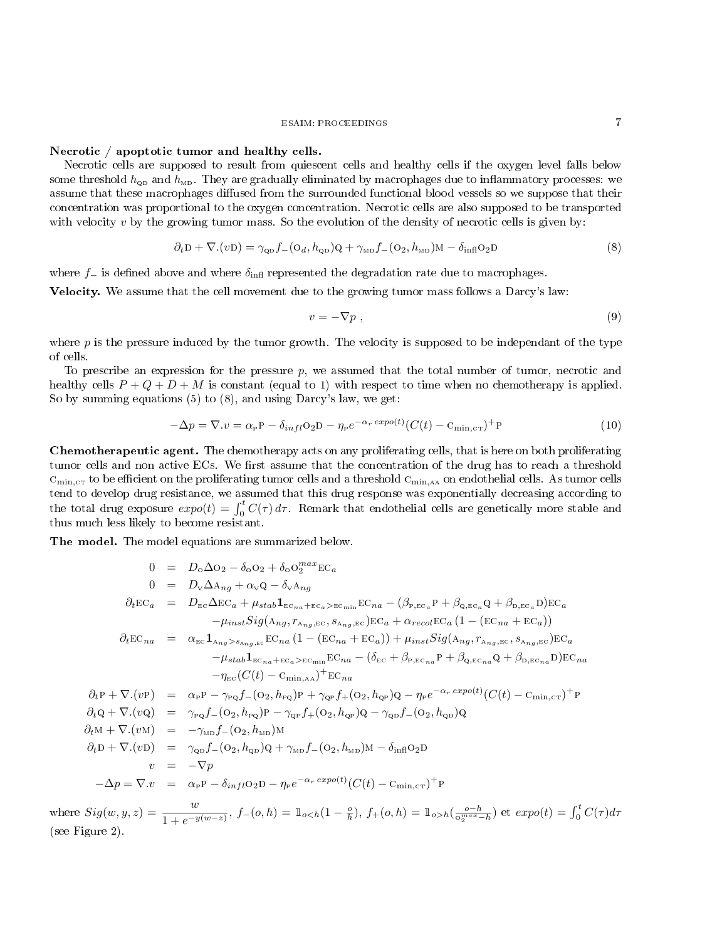#### Necrotic / apoptotic tumor and healthy cells.

Necrotic cells are supposed to result from quiescent cells and healthy cells if the oxygen level falls below some threshold  $h_{\rm qp}$  and  $h_{\rm MD}$ . They are gradually eliminated by macrophages due to inflammatory processes: we assume that these macrophages diffused from the surrounded functional blood vessels so we suppose that their concentration was proportional to the oxygen concentration. Necrotic cells are also supposed to be transported with velocity  $v$  by the growing tumor mass. So the evolution of the density of necrotic cells is given by:

$$
\partial_t \mathbf{D} + \nabla \cdot (v \mathbf{D}) = \gamma_{\mathbf{Q} \mathbf{D}} f_-(\mathbf{O}_d, h_{\mathbf{Q} \mathbf{D}}) \mathbf{Q} + \gamma_{\mathbf{M} \mathbf{D}} f_-(\mathbf{O}_2, h_{\mathbf{M} \mathbf{D}}) \mathbf{M} - \delta_{\mathbf{in} \mathbf{H}} \mathbf{O}_2 \mathbf{D}
$$
\n
$$
\tag{8}
$$

where  $f_$  is defined above and where  $\delta_{\text{infl}}$  represented the degradation rate due to macrophages.

Velocity. We assume that the cell movement due to the growing tumor mass follows a Darcy's law:

$$
v = -\nabla p \t{,} \t(9)
$$

where  $p$  is the pressure induced by the tumor growth. The velocity is supposed to be independant of the type of cells.

To prescribe an expression for the pressure  $p$ , we assumed that the total number of tumor, necrotic and healthy cells  $P + Q + D + M$  is constant (equal to 1) with respect to time when no chemotherapy is applied. So by summing equations (5) to (8), and using Darcy's law, we get:

$$
-\Delta p = \nabla \cdot v = \alpha_{\rm P} P - \delta_{\inf} O_2 D - \eta_{\rm P} e^{-\alpha_r \exp o(t)} (C(t) - C_{\min, cT})^+ P
$$
\n(10)

Chemotherapeutic agent. The chemotherapy acts on any proliferating cells, that is here on both proliferating tumor cells and non active ECs. We first assume that the concentration of the drug has to reach a threshold  $c_{min, cT}$  to be efficient on the proliferating tumor cells and a threshold  $c_{min,AA}$  on endothelial cells. As tumor cells tend to develop drug resistance, we assumed that this drug response was exponentially decreasing according to the total drug exposure  $expo(t) = \int_0^t C(\tau) d\tau$ . Remark that endothelial cells are genetically more stable and thus much less likely to become resistant.

The model. The model equations are summarized below.

$$
0 = D_{o} \Delta o_{2} - \delta_{o} o_{2} + \delta_{o} o_{2}^{max} E c_{a}
$$
  
\n
$$
0 = D_{v} \Delta A_{ng} + \alpha_{v} Q - \delta_{v} A_{ng}
$$
  
\n
$$
\partial_{t} E c_{a} = D_{E c} \Delta E c_{a} + \mu_{stab} I_{E c_{na} + E c_{a} > E c_{min}} E c_{na} - (\beta_{P, E c_{a}} P + \beta_{Q, E c_{a}} Q + \beta_{D, E c_{a}} D) E c_{a}
$$
  
\n
$$
-\mu_{inst} Sig(A_{ng}, r_{A_{ng}, E c}, s_{A_{ng}, E c}) E c_{a} + \alpha_{recol} E c_{a} (1 - (E c_{na} + E c_{a}))
$$
  
\n
$$
\partial_{t} E c_{na} = \alpha_{E c} 1_{A_{ng} > s_{A_{ng}, E c}} E c_{na} (1 - (E c_{na} + E c_{a})) + \mu_{inst} Sig(A_{ng}, r_{A_{ng}, E c}, s_{A_{ng}, E c}) E c_{a}
$$
  
\n
$$
-\mu_{stab} 1_{E c_{na} + E c_{a} > E c_{min}} E c_{na} - (\delta_{E c} + \beta_{P, E c_{na}} P + \beta_{Q, E c_{na}} Q + \beta_{D, E c_{na}} D) E c_{na}
$$
  
\n
$$
\partial_{t} P + \nabla.(v P) = \alpha_{p} P - \gamma_{p} f_{-}(o_{2}, h_{p q}) P + \gamma_{q} f_{+}(o_{2}, h_{q} P) Q - \eta_{p} e^{-\alpha_{r} \exp(t)} (C(t) - C_{min, cr}) + P
$$
  
\n
$$
\partial_{t} Q + \nabla.(v Q) = \gamma_{p} f_{-}(o_{2}, h_{p q}) P - \gamma_{q} f_{+}(o_{2}, h_{q} P) Q - \gamma_{q} f_{-}(o_{2}, h_{q} P) Q
$$
  
\n
$$
\partial_{t} M + \nabla.(v M) = -\gamma_{M D} f_{-}(o_{2}, h_{M D}) M
$$
  
\n
$$
\partial_{t} D + \nabla.(v D) = \gamma_{q} f_{-}(o_{2}, h_{q} P) Q + \gamma_{M D} f_{-}(o_{2}, h_{M D}) M - \delta_{in
$$

where  $Sig(w, y, z) = \frac{w}{1 + e^{-y(w-z)}}, f_{-}(o, h) = \mathbb{1}_{o < h}(1 - \frac{o}{h}), f_{+}(o, h) = \mathbb{1}_{o > h}(\frac{o-h}{o_2^{max}-h})$  et  $expo(t) = \int_0^t C(\tau)d\tau$ (see Figure 2).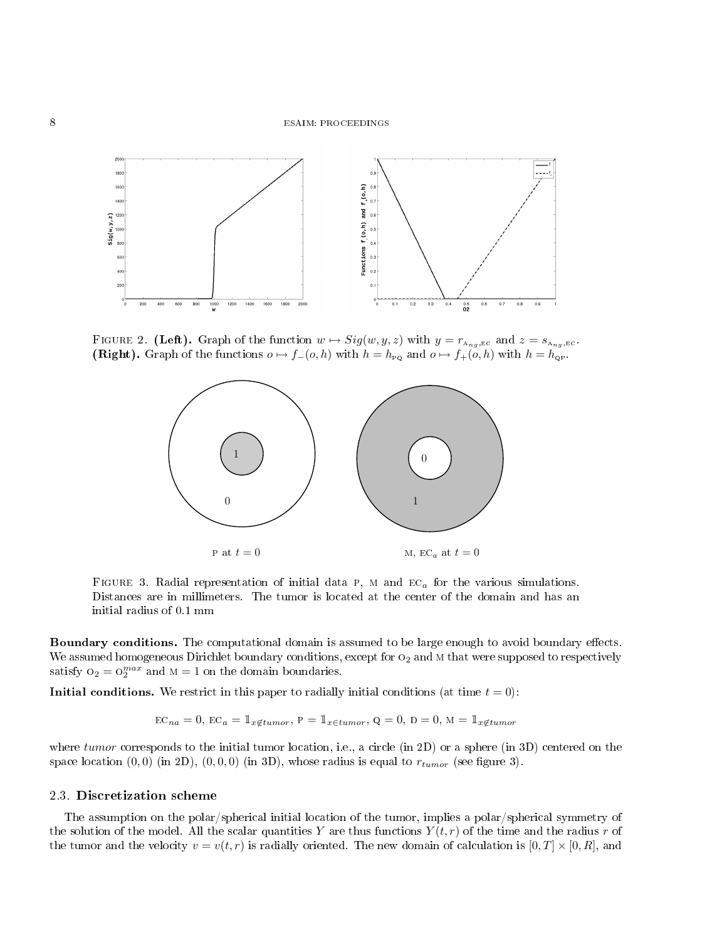

FIGURE 2. (Left). Graph of the function  $w \mapsto Sig(w, y, z)$  with  $y = r_{A_{ng}, E_{C}}$  and  $z = s_{A_{ng}, E_{C}}$ . (Right). Graph of the functions  $o \mapsto f_-(o, h)$  with  $h = h_{pq}$  and  $o \mapsto f_+(o, h)$  with  $h = h_{qp}$ .



FIGURE 3. Radial representation of initial data P, M and  $EC_a$  for the various simulations. Distances are in millimeters. The tumor is located at the center of the domain and has an initial radius of 0.1 mm

Boundary conditions. The computational domain is assumed to be large enough to avoid boundary effects. We assumed homogeneous Dirichlet boundary conditions, except for  $O<sub>2</sub>$  and M that were supposed to respectively satisfy  $o_2 = o_2^{max}$  and  $M = 1$  on the domain boundaries.

**Initial conditions.** We restrict in this paper to radially initial conditions (at time  $t = 0$ ):

$$
EC_{na} = 0, EC_a = \mathbb{1}_{x \notin tumor}, P = \mathbb{1}_{x \in tumor}, Q = 0, D = 0, M = \mathbb{1}_{x \notin tumor}
$$

where  $tumor$  corresponds to the initial tumor location, i.e., a circle (in 2D) or a sphere (in 3D) centered on the space location  $(0, 0)$  (in 2D),  $(0, 0, 0)$  (in 3D), whose radius is equal to  $r_{tumor}$  (see figure 3).

## 2.3. Discretization scheme

The assumption on the polar/spherical initial location of the tumor, implies a polar/spherical symmetry of the solution of the model. All the scalar quantities Y are thus functions  $Y(t, r)$  of the time and the radius r of the tumor and the velocity  $v = v(t, r)$  is radially oriented. The new domain of calculation is  $[0, T] \times [0, R]$ , and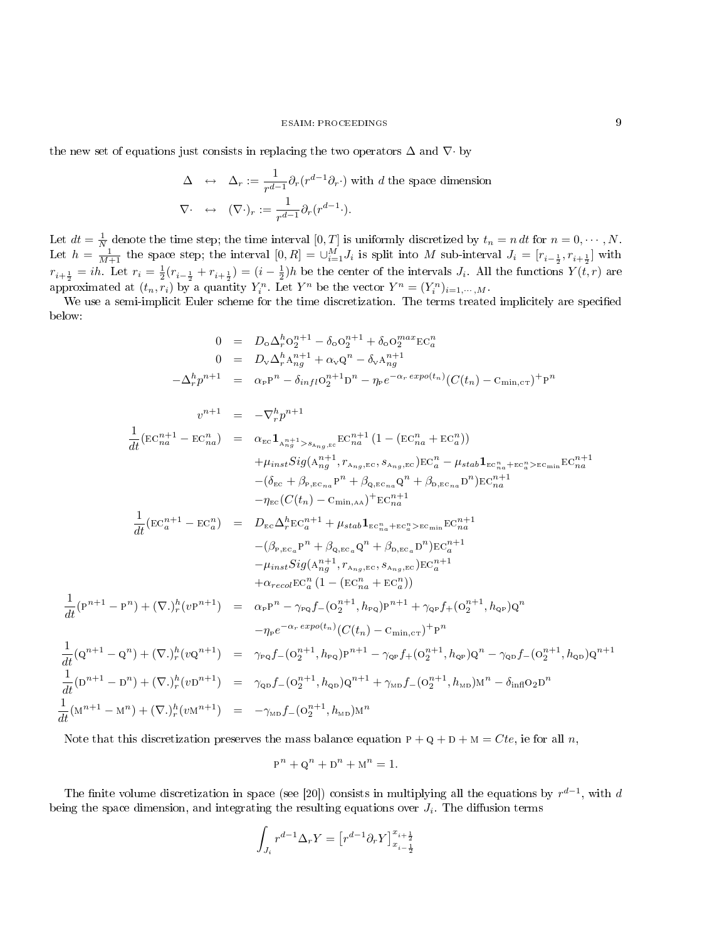the new set of equations just consists in replacing the two operators  $\Delta$  and  $\nabla$ · by

$$
\Delta \leftrightarrow \Delta_r := \frac{1}{r^{d-1}} \partial_r (r^{d-1} \partial_r \cdot) \text{ with } d \text{ the space dimension}
$$
  

$$
\nabla \leftrightarrow (\nabla \cdot)_r := \frac{1}{r^{d-1}} \partial_r (r^{d-1} \cdot).
$$

Let  $dt = \frac{1}{N}$  denote the time step; the time interval  $[0, T]$  is uniformly discretized by  $t_n = n dt$  for  $n = 0, \cdots, N$ . Let  $h = \frac{1}{M+1}$  the space step; the interval  $[0, R] = \bigcup_{i=1}^{M} J_i$  is split into M sub-interval  $J_i = [r_{i-\frac{1}{2}}, r_{i+\frac{1}{2}}]$  with  $r_{i+\frac{1}{2}} = ih$ . Let  $r_i = \frac{1}{2}(r_{i-\frac{1}{2}} + r_{i+\frac{1}{2}}) = (i - \frac{1}{2})h$  be the center of the intervals  $J_i$ . All the functions  $Y(t, r)$  are approximated at  $(t_n, r_i)$  by a quantity  $Y_i^n$ . Let  $Y^n$  be the vector  $Y^n = (Y_i^n)_{i=1,\dots,M}$ .

We use a semi-implicit Euler scheme for the time discretization. The terms treated implicitely are specified below:

$$
0 = D_{0} \Delta_{r}^{h} \mathbf{O}_{2}^{n+1} - \delta_{0} \mathbf{O}_{2}^{n+1} + \delta_{0} \mathbf{O}_{2}^{max} \mathbf{E} \mathbf{C}_{a}^{n}
$$
  
\n
$$
0 = D_{v} \Delta_{r}^{h} \mathbf{A}_{ng}^{n+1} + \alpha_{v} \mathbf{Q}^{n} - \delta_{v} \mathbf{A}_{ng}^{n+1}
$$
  
\n
$$
-\Delta_{r}^{h} p^{n+1} = \alpha_{p} \mathbf{P}^{n} - \delta_{infl} \mathbf{O}_{2}^{n+1} \mathbf{D}^{n} - \eta_{p} e^{-\alpha_{r} \exp(t_{n})} (C(t_{n}) - C_{\min, \text{CT}})^{+} \mathbf{P}^{n}
$$

$$
v^{n+1} = -\nabla_{n}^{h} p^{n+1}
$$
\n
$$
\frac{1}{dt} (EC_{na}^{n+1} - EC_{na}^{n}) = \alpha_{EC} \mathbf{1}_{A_{ng}^{n+1} > s_{A_{ng},EC}} EC_{na}^{n+1} (1 - (EC_{na}^{n} + EC_{a}^{n}))
$$
\n
$$
+ \mu_{inst} Sig(\Lambda_{ng}^{n+1}, r_{A_{ng},EC}, s_{A_{ng},EC}) EC_{a}^{n} - \mu_{stab} \mathbf{1}_{EC_{na}^{n}} + EC_{a}^{n} > EC_{min}^{n+1} \n- (\delta_{EC} + \beta_{P,EC_{na}} P^{n} + \beta_{Q,EC_{na}} Q^{n} + \beta_{D,EC_{na}} D^{n}) EC_{na}^{n+1}
$$
\n
$$
\frac{1}{dt} (EC_{a}^{n+1} - EC_{a}^{n}) = D_{EC} \Delta_{r}^{h} EC_{a}^{n+1} + \mu_{stab} \mathbf{1}_{EC_{na}^{n} + EC_{a}^{n} > EC_{min}} EC_{na}^{n+1}
$$
\n
$$
- (\beta_{P,EC_{a}} P^{n} + \beta_{Q,EC_{a}} Q^{n} + \beta_{D,EC_{a}} D^{n}) EC_{a}^{n+1}
$$
\n
$$
- \mu_{inst} Sig(\Lambda_{ng}^{n+1}, r_{A_{ng},EC}, s_{A_{ng},EC}) EC_{a}^{n+1}
$$
\n
$$
+ \alpha_{rec} \alpha_{EC} \alpha_{C}^{n} (1 - (EC_{na}^{n} + EC_{a}^{n}))
$$
\n
$$
\frac{1}{dt} (P^{n+1} - P^{n}) + (\nabla_{r})_{r}^{h} (v P^{n+1}) = \alpha_{P} P^{n} - \gamma_{Pq} f_{-} (O_{2}^{n+1}, h_{Pq}) P^{n+1} + \gamma_{QP} f_{+} (O_{2}^{n+1}, h_{QP}) Q^{n}
$$
\n
$$
- \eta_{P} e^{-\alpha_{r} exp(t_{n})} (C(t_{n}) - C_{min,cr}) + P^{n}
$$
\n
$$
\frac{1}{dt} (Q^{n+1} - Q^{n}) + (\nabla_{r})_{r}^{h} (v Q^{n+1}) = \gamma_{Pq} f_{-} (O_{2}^{n+1}, h_{Pq
$$

Note that this discretization preserves the mass balance equation  $P + Q + D + M = Cte$ , ie for all n,

 $\frac{1}{dt}$ (P

 $\frac{1}{dt}$ (Q

 $\frac{1}{dt}$ (D

$$
P^{n} + Q^{n} + D^{n} + M^{n} = 1.
$$

The finite volume discretization in space (see [20]) consists in multiplying all the equations by  $r^{d-1}$ , with  $d$ being the space dimension, and integrating the resulting equations over  $J_i$ . The diffusion terms

$$
\int_{J_i} r^{d-1} \Delta_r Y = \left[ r^{d-1} \partial_r Y \right]_{x_{i-\frac{1}{2}}}^{x_{i+\frac{1}{2}}}
$$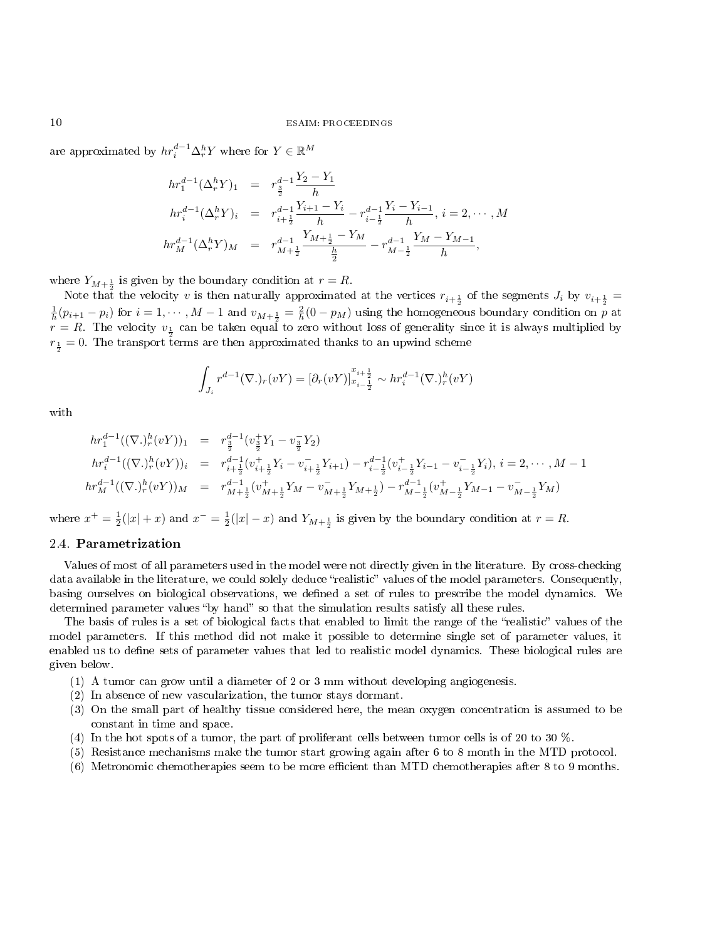are approximated by  $hr_i^{d-1} \Delta_r^h Y$  where for  $Y \in \mathbb{R}^M$ 

$$
hr_1^{d-1}(\Delta_r^h Y)_1 = r_{\frac{3}{2}}^{d-1} \frac{Y_2 - Y_1}{h}
$$
  
\n
$$
hr_i^{d-1}(\Delta_r^h Y)_i = r_{i+\frac{1}{2}}^{d-1} \frac{Y_{i+1} - Y_i}{h} - r_{i-\frac{1}{2}}^{d-1} \frac{Y_i - Y_{i-1}}{h}, i = 2, \cdots, M
$$
  
\n
$$
hr_M^{d-1}(\Delta_r^h Y)_M = r_{M+\frac{1}{2}}^{d-1} \frac{Y_{M+\frac{1}{2}} - Y_M}{\frac{h}{2}} - r_{M-\frac{1}{2}}^{d-1} \frac{Y_M - Y_{M-1}}{h},
$$

where  $Y_{M+\frac{1}{2}}$  is given by the boundary condition at  $r = R$ .

Note that the velocity v is then naturally approximated at the vertices  $r_{i+\frac{1}{2}}$  of the segments  $J_i$  by  $v_{i+\frac{1}{2}} =$  $\frac{1}{h}(p_{i+1}-p_i)$  for  $i=1,\cdots,M-1$  and  $v_{M+\frac{1}{2}}=\frac{2}{h}(0-p_M)$  using the homogeneous boundary condition on p at  $r = R$ . The velocity  $v_{\frac{1}{2}}$  can be taken equal to zero without loss of generality since it is always multiplied by  $r_{1 \over 2} = 0$ . The transport terms are then approximated thanks to an upwind scheme

$$
\int_{J_i} r^{d-1}(\nabla.)_r(vY) = [\partial_r(vY)]_{x_{i-\frac{1}{2}}}^{x_{i+\frac{1}{2}}} \sim hr_i^{d-1}(\nabla.)_r^h(vY)
$$

with

$$
hr_1^{d-1}((\nabla.)_r^h(vY))_1 = r_{\frac{3}{2}}^{d-1}(v_{\frac{1}{2}}^+Y_1 - v_{\frac{3}{2}}^-Y_2)
$$
  
\n
$$
hr_i^{d-1}((\nabla.)_r^h(vY))_i = r_{i+\frac{1}{2}}^{d-1}(v_{i+\frac{1}{2}}^+Y_i - v_{i+\frac{1}{2}}^-Y_{i+1}) - r_{i-\frac{1}{2}}^{d-1}(v_{i-\frac{1}{2}}^+Y_{i-1} - v_{i-\frac{1}{2}}^-Y_i), i = 2, \dots, M-1
$$
  
\n
$$
hr_M^{d-1}((\nabla.)_r^h(vY))_M = r_{M+\frac{1}{2}}^{d-1}(v_{M+\frac{1}{2}}^+Y_M - v_{M+\frac{1}{2}}^-Y_{M+\frac{1}{2}}) - r_{M-\frac{1}{2}}^{d-1}(v_{M-\frac{1}{2}}^+Y_{M-1} - v_{M-\frac{1}{2}}^-Y_M)
$$

where  $x^+ = \frac{1}{2}(|x|+x)$  and  $x^- = \frac{1}{2}(|x|-x)$  and  $Y_{M+\frac{1}{2}}$  is given by the boundary condition at  $r = R$ .

# 2.4. Parametrization

Values of most of all parameters used in the model were not directly given in the literature. By cross-checking data available in the literature, we could solely deduce "realistic" values of the model parameters. Consequently, basing ourselves on biological observations, we dened a set of rules to prescribe the model dynamics. We determined parameter values "by hand" so that the simulation results satisfy all these rules.

The basis of rules is a set of biological facts that enabled to limit the range of the "realistic" values of the model parameters. If this method did not make it possible to determine single set of parameter values, it enabled us to define sets of parameter values that led to realistic model dynamics. These biological rules are given below.

- (1) A tumor can grow until a diameter of 2 or 3 mm without developing angiogenesis.
- (2) In absence of new vascularization, the tumor stays dormant.
- (3) On the small part of healthy tissue considered here, the mean oxygen concentration is assumed to be constant in time and space.
- (4) In the hot spots of a tumor, the part of proliferant cells between tumor cells is of 20 to 30 %.
- (5) Resistance mechanisms make the tumor start growing again after 6 to 8 month in the MTD protocol.
- (6) Metronomic chemotherapies seem to be more ecient than MTD chemotherapies after 8 to 9 months.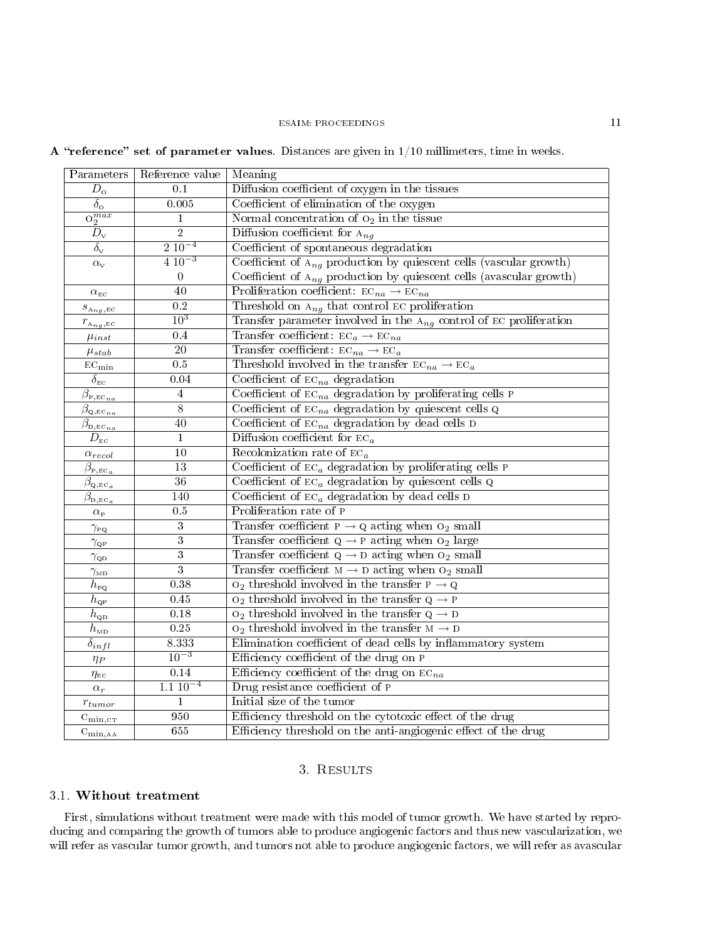|  |  |  |  |  | A "reference" set of parameter values. Distances are given in $1/10$ millimeters, time in weeks. |  |  |  |  |  |  |  |
|--|--|--|--|--|--------------------------------------------------------------------------------------------------|--|--|--|--|--|--|--|
|--|--|--|--|--|--------------------------------------------------------------------------------------------------|--|--|--|--|--|--|--|

| Parameters                                                | Reference value            | Meaning                                                                  |
|-----------------------------------------------------------|----------------------------|--------------------------------------------------------------------------|
| $D_{\rm o}$                                               | 0.1                        | Diffusion coefficient of oxygen in the tissues                           |
| $\delta_{\rm o}$                                          | 0.005                      | Coefficient of elimination of the oxygen                                 |
| $0_2^{max}$                                               | $\mathbf{1}$               | Normal concentration of $O2$ in the tissue                               |
| $D_{\rm v}$                                               | $\overline{2}$             | Diffusion coefficient for $A_{ng}$                                       |
| $\delta_{\rm v}$                                          | $210^{-4}$                 | Coefficient of spontaneous degradation                                   |
| $\alpha_{\rm v}$                                          | $\overline{4\,10^{-3}}$    | Coefficient of $A_{nq}$ production by quiescent cells (vascular growth)  |
|                                                           | $\theta$                   | Coefficient of $A_{ng}$ production by quiescent cells (avascular growth) |
| $\alpha_{\text{\tiny EC}}$                                | 40                         | Proliferation coefficient: $EC_{na} \rightarrow EC_{na}$                 |
| $s_{A_{ng},EC}$                                           | $\overline{0.2}$           | Threshold on $A_{ng}$ that control EC proliferation                      |
| $r_{A_{ng},E}$                                            | 10 <sup>3</sup>            | Transfer parameter involved in the $A_{ng}$ control of EC proliferation  |
| $\mu_{inst}$                                              | 0.4                        | Transfer coefficient: $EC_a \rightarrow EC_{na}$                         |
| $\mu_{stab}$                                              | $\overline{20}$            | Transfer coefficient: $EC_{na} \rightarrow EC_a$                         |
| $\mathrm{EC}_{\mathrm{min}}$                              | 0.5                        | Threshold involved in the transfer $EC_{na} \rightarrow EC_a$            |
| $\delta_{\scriptscriptstyle\mathrm{EC}}$                  | 0.04                       | Coefficient of $EC_{na}$ degradation                                     |
| $\beta_{\text{\tiny P},\underline{\text{\tiny EC}}_{na}}$ | $\sqrt{4}$                 | Coefficient of $EC_{na}$ degradation by proliferating cells P            |
| $\beta_{\text{\tiny Q},\text{\tiny EC}_{na}}$             | $\overline{8}$             | Coefficient of $EC_{na}$ degradation by quiescent cells $Q$              |
| $\beta_{\text{\tiny D},\text{\tiny EC}_{na}}$             | $\overline{40}$            | Coefficient of $EC_{na}$ degradation by dead cells D                     |
| $D_{\scriptscriptstyle\rm EC}$                            | $\mathbf{1}$               | Diffusion coefficient for $EC_a$                                         |
| $\alpha_{recol}$                                          | 10                         | Recolonization rate of $EC_a$                                            |
| $\beta_{\text{\tiny{P}},\text{\tiny{EC}}_{a}}$            | 13                         | Coefficient of $EC_a$ degradation by proliferating cells P               |
| $\beta_{\text{\tiny Q},\text{\tiny EC}_a}$                | $\overline{36}$            | Coefficient of $EC_a$ degradation by quiescent cells $Q$                 |
| $\beta_{\text{\tiny D,EC}_a}$                             | $\overline{140}$           | Coefficient of $EC_a$ degradation by dead cells D                        |
| $\alpha_{\rm P}$                                          | 0.5                        | Proliferation rate of P                                                  |
| $\gamma_{\rm PQ}$                                         | $\overline{3}$             | Transfer coefficient $P \rightarrow Q$ acting when $O_2$ small           |
| $\gamma_{\text{\tiny Q} \, \text{\tiny P}}$               | $\overline{3}$             | Transfer coefficient $Q \rightarrow P$ acting when $O_2$ large           |
| $\gamma_{\text{\tiny Q\,D}}$                              | $\overline{3}$             | Transfer coefficient $Q \rightarrow D$ acting when $O_2$ small           |
| $\gamma_{\mbox{\tiny MD}}$                                | $\overline{3}$             | Transfer coefficient $M \to D$ acting when $O_2$ small                   |
| $h_{\rm PQ}$                                              | 0.38                       | $o_2$ threshold involved in the transfer $P \rightarrow Q$               |
| $h_{\text{QP}}$                                           | 0.45                       | $o_2$ threshold involved in the transfer $Q \rightarrow P$               |
| $h_{\text{qp}}$                                           | 0.18                       | $o_2$ threshold involved in the transfer $Q \rightarrow D$               |
| $h_{\rm{MD}}$                                             | 0.25                       | $o_2$ threshold involved in the transfer $M \rightarrow D$               |
| $\delta_{infl}$                                           | 8.333                      | Elimination coefficient of dead cells by inflammatory system             |
| $\eta_P$                                                  | $10^{-3}$                  | Efficiency coefficient of the drug on P                                  |
| $\eta_{\scriptscriptstyle\rm EC}$                         | 0.14                       | Efficiency coefficient of the drug on $EC_{na}$                          |
| $\alpha_r$                                                | $1.\overline{1}$ $10^{-4}$ | Drug resistance coefficient of P                                         |
| $r_{tumor}$                                               | $\mathbf 1$                | Initial size of the tumor                                                |
| $c_{min,cr}$                                              | 950                        | Efficiency threshold on the cytotoxic effect of the drug                 |
| $C_{\min,AA}$                                             | 655                        | Efficiency threshold on the anti-angiogenic effect of the drug           |

# 3. Results

# 3.1. Without treatment

First, simulations without treatment were made with this model of tumor growth. We have started by reproducing and comparing the growth of tumors able to produce angiogenic factors and thus new vascularization, we will refer as vascular tumor growth, and tumors not able to produce angiogenic factors, we will refer as avascular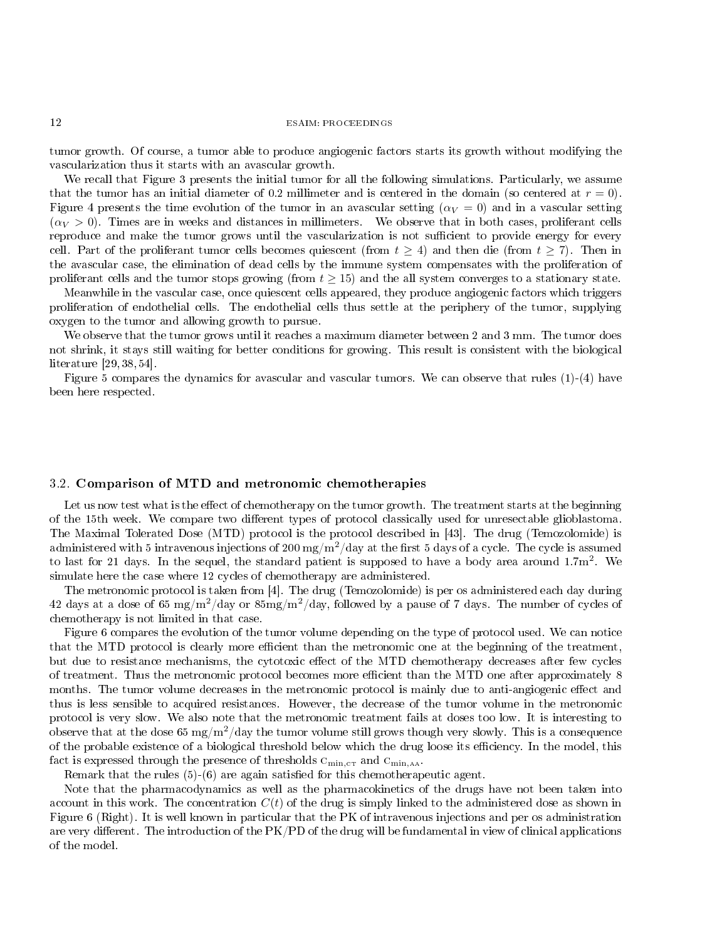tumor growth. Of course, a tumor able to produce angiogenic factors starts its growth without modifying the vascularization thus it starts with an avascular growth.

We recall that Figure 3 presents the initial tumor for all the following simulations. Particularly, we assume that the tumor has an initial diameter of 0.2 millimeter and is centered in the domain (so centered at  $r = 0$ ). Figure 4 presents the time evolution of the tumor in an avascular setting ( $\alpha_V = 0$ ) and in a vascular setting  $(\alpha_V > 0)$ . Times are in weeks and distances in millimeters. We observe that in both cases, proliferant cells reproduce and make the tumor grows until the vascularization is not sufficient to provide energy for every cell. Part of the proliferant tumor cells becomes quiescent (from  $t \geq 4$ ) and then die (from  $t \geq 7$ ). Then in the avascular case, the elimination of dead cells by the immune system compensates with the proliferation of proliferant cells and the tumor stops growing (from  $t \geq 15$ ) and the all system converges to a stationary state.

Meanwhile in the vascular case, once quiescent cells appeared, they produce angiogenic factors which triggers proliferation of endothelial cells. The endothelial cells thus settle at the periphery of the tumor, supplying oxygen to the tumor and allowing growth to pursue.

We observe that the tumor grows until it reaches a maximum diameter between 2 and 3 mm. The tumor does not shrink, it stays still waiting for better conditions for growing. This result is consistent with the biological literature [29, 38, 54].

Figure 5 compares the dynamics for avascular and vascular tumors. We can observe that rules (1)-(4) have been here respected.

# 3.2. Comparison of MTD and metronomic chemotherapies

Let us now test what is the effect of chemotherapy on the tumor growth. The treatment starts at the beginning of the 15th week. We compare two different types of protocol classically used for unresectable glioblastoma. The Maximal Tolerated Dose (MTD) protocol is the protocol described in [43]. The drug (Temozolomide) is administered with 5 intravenous injections of 200 mg/m<sup>2</sup>/day at the first 5 days of a cycle. The cycle is assumed to last for 21 days. In the sequel, the standard patient is supposed to have a body area around  $1.7\mathrm{m}^2$ . We simulate here the case where 12 cycles of chemotherapy are administered.

The metronomic protocol is taken from [4]. The drug (Temozolomide) is per os administered each day during 42 days at a dose of 65  $mg/m^2/day$  or 85mg/m<sup>2</sup>/day, followed by a pause of 7 days. The number of cycles of chemotherapy is not limited in that case.

Figure 6 compares the evolution of the tumor volume depending on the type of protocol used. We can notice that the MTD protocol is clearly more efficient than the metronomic one at the beginning of the treatment, but due to resistance mechanisms, the cytotoxic effect of the MTD chemotherapy decreases after few cycles of treatment. Thus the metronomic protocol becomes more efficient than the MTD one after approximately 8 months. The tumor volume decreases in the metronomic protocol is mainly due to anti-angiogenic effect and thus is less sensible to acquired resistances. However, the decrease of the tumor volume in the metronomic protocol is very slow. We also note that the metronomic treatment fails at doses too low. It is interesting to observe that at the dose 65 mg/m<sup>2</sup>/day the tumor volume still grows though very slowly. This is a consequence of the probable existence of a biological threshold below which the drug loose its efficiency. In the model, this fact is expressed through the presence of thresholds  $C_{min,CT}$  and  $C_{min,AA}$ .

Remark that the rules  $(5)-(6)$  are again satisfied for this chemotherapeutic agent.

Note that the pharmacodynamics as well as the pharmacokinetics of the drugs have not been taken into account in this work. The concentration  $C(t)$  of the drug is simply linked to the administered dose as shown in Figure 6 (Right). It is well known in particular that the PK of intravenous injections and per os administration are very different. The introduction of the  $PK/PD$  of the drug will be fundamental in view of clinical applications of the model.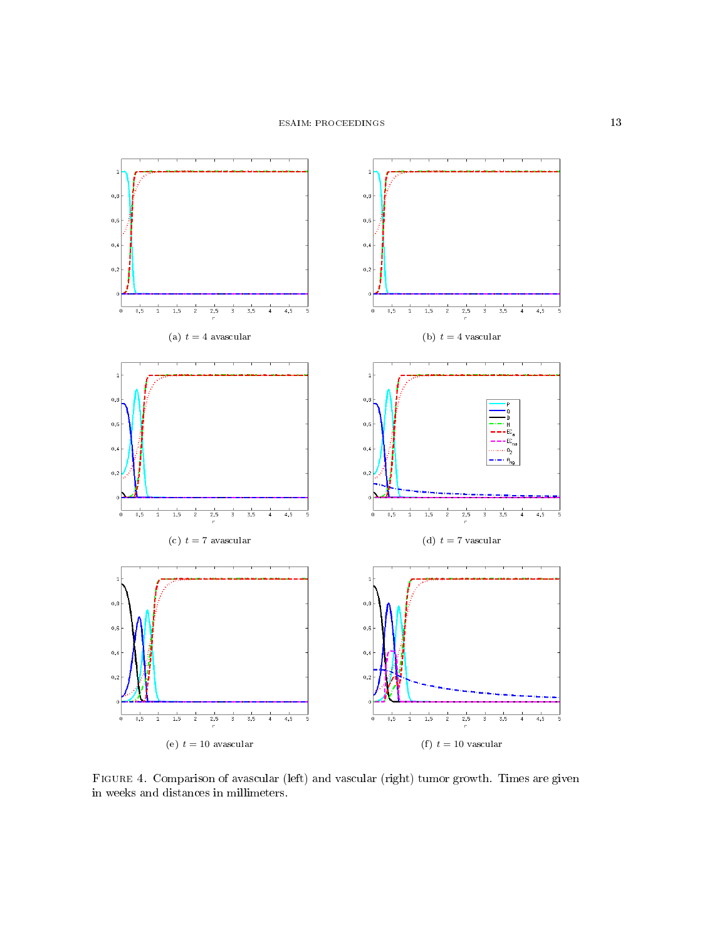

Figure 4. Comparison of avascular (left) and vascular (right) tumor growth. Times are given in weeks and distances in millimeters.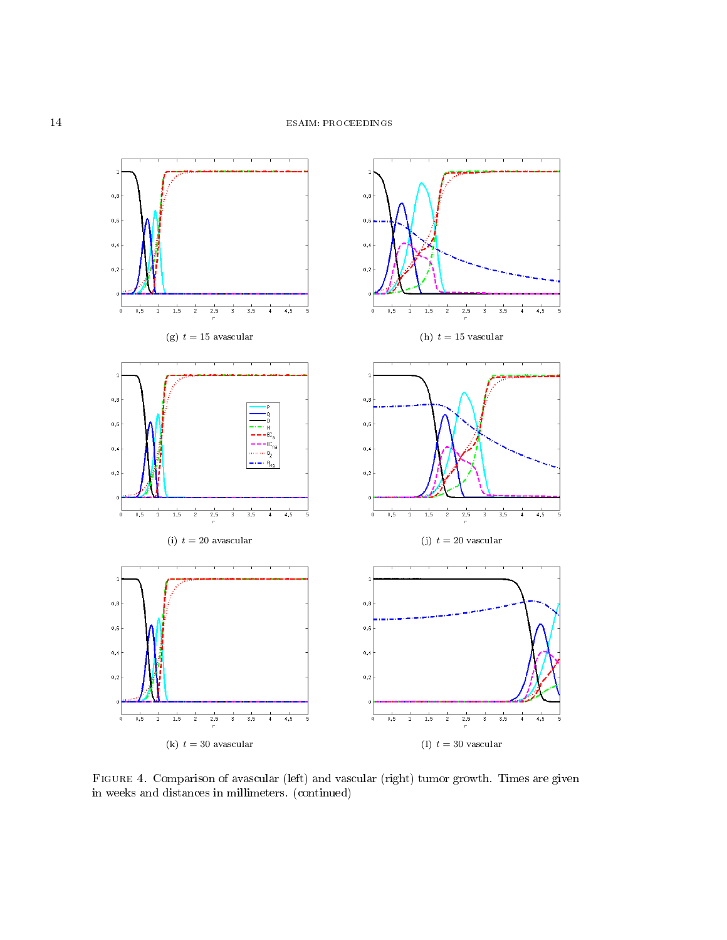

Figure 4. Comparison of avascular (left) and vascular (right) tumor growth. Times are given in weeks and distances in millimeters. (continued)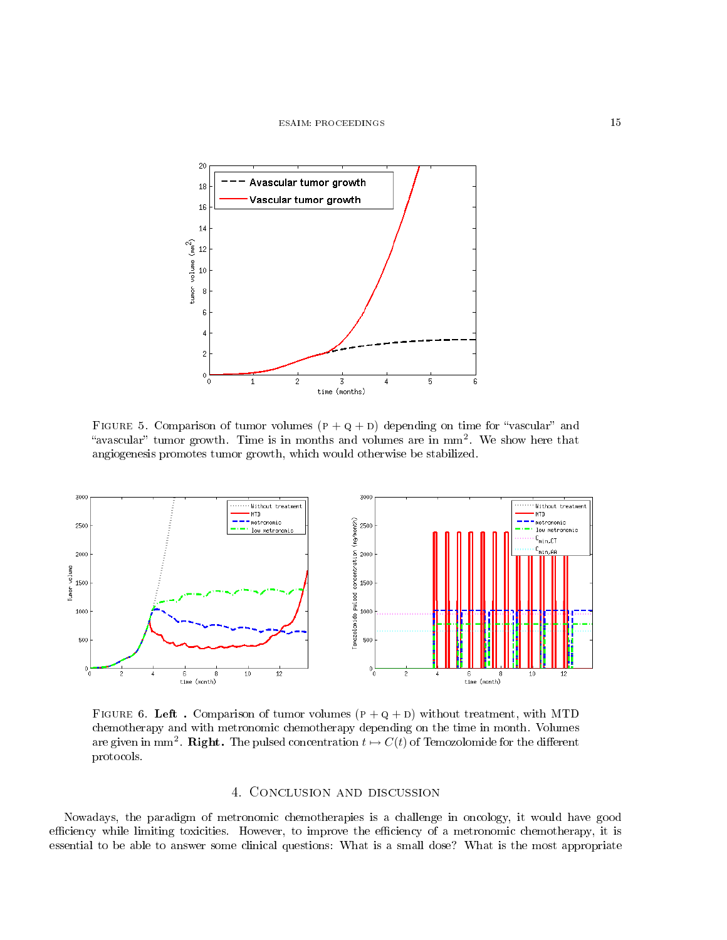

FIGURE 5. Comparison of tumor volumes  $(P + Q + D)$  depending on time for "vascular" and "avascular" tumor growth. Time is in months and volumes are in  $mm^2$ . We show here that angiogenesis promotes tumor growth, which would otherwise be stabilized.



FIGURE 6. Left. Comparison of tumor volumes  $(P + Q + D)$  without treatment, with MTD chemotherapy and with metronomic chemotherapy depending on the time in month. Volumes are given in mm<sup>2</sup>. Right. The pulsed concentration  $t \mapsto C(t)$  of Temozolomide for the different protocols.

# 4. Conclusion and discussion

Nowadays, the paradigm of metronomic chemotherapies is a challenge in oncology, it would have good efficiency while limiting toxicities. However, to improve the efficiency of a metronomic chemotherapy, it is essential to be able to answer some clinical questions: What is a small dose? What is the most appropriate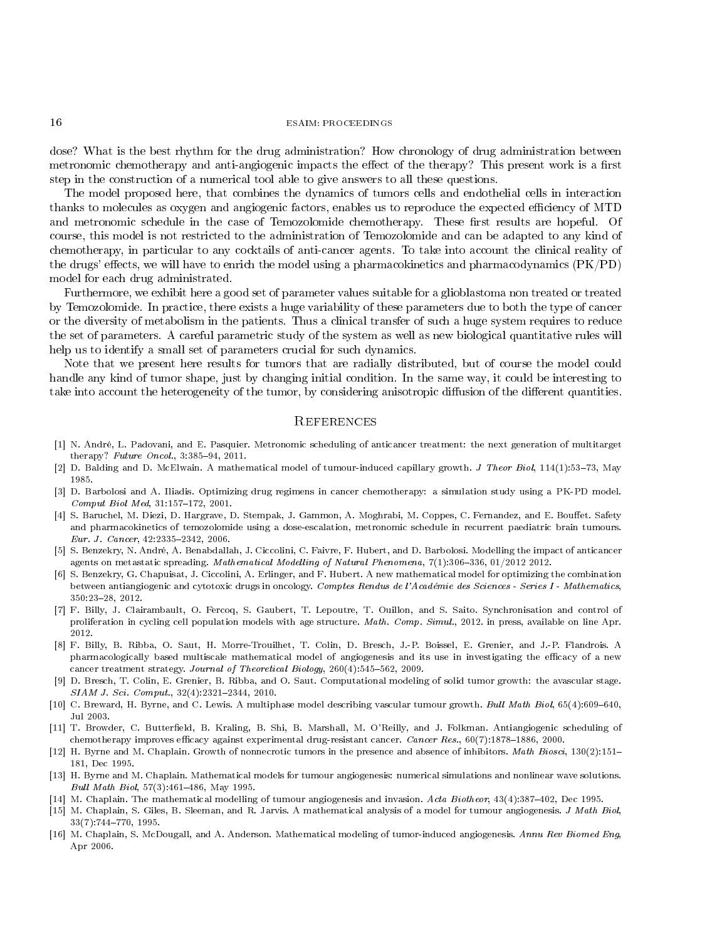dose? What is the best rhythm for the drug administration? How chronology of drug administration between metronomic chemotherapy and anti-angiogenic impacts the effect of the therapy? This present work is a first step in the construction of a numerical tool able to give answers to all these questions.

The model proposed here, that combines the dynamics of tumors cells and endothelial cells in interaction thanks to molecules as oxygen and angiogenic factors, enables us to reproduce the expected efficiency of MTD and metronomic schedule in the case of Temozolomide chemotherapy. These first results are hopeful. Of course, this model is not restricted to the administration of Temozolomide and can be adapted to any kind of chemotherapy, in particular to any cocktails of anti-cancer agents. To take into account the clinical reality of the drugs' effects, we will have to enrich the model using a pharmacokinetics and pharmacodynamics  $(PK/PD)$ model for each drug administrated.

Furthermore, we exhibit here a good set of parameter values suitable for a glioblastoma non treated or treated by Temozolomide. In practice, there exists a huge variability of these parameters due to both the type of cancer or the diversity of metabolism in the patients. Thus a clinical transfer of such a huge system requires to reduce the set of parameters. A careful parametric study of the system as well as new biological quantitative rules will help us to identify a small set of parameters crucial for such dynamics.

Note that we present here results for tumors that are radially distributed, but of course the model could handle any kind of tumor shape, just by changing initial condition. In the same way, it could be interesting to take into account the heterogeneity of the tumor, by considering anisotropic diffusion of the different quantities.

## **REFERENCES**

- [1] N. André, L. Padovani, and E. Pasquier. Metronomic scheduling of anticancer treatment: the next generation of multitarget therapy? Future Oncol.,  $3:385-94$ , 2011.
- [2] D. Balding and D. McElwain. A mathematical model of tumour-induced capillary growth. *J Theor Biol*, 114(1):53-73, May 1985.
- [3] D. Barbolosi and A. Iliadis. Optimizing drug regimens in cancer chemotherapy: a simulation study using a PK-PD model.  $Comput$  Biol Med, 31:157-172, 2001.
- [4] S. Baruchel, M. Diezi, D. Hargrave, D. Stempak, J. Gammon, A. Moghrabi, M. Coppes, C. Fernandez, and E. Bouffet. Safety and pharmacokinetics of temozolomide using a dose-escalation, metronomic schedule in recurrent paediatric brain tumours. Eur. J. Cancer,  $42:2335-2342$ ,  $2006$ .
- [5] S. Benzekry, N. André, A. Benabdallah, J. Ciccolini, C. Faivre, F. Hubert, and D. Barbolosi. Modelling the impact of anticancer agents on metastatic spreading. Mathematical Modelling of Natural Phenomena, 7(1):306-336, 01/2012 2012.
- [6] S. Benzekry, G. Chapuisat, J. Ciccolini, A. Erlinger, and F. Hubert. A new mathematical model for optimizing the combination between antiangiogenic and cytotoxic drugs in oncology. Comptes Rendus de l'Académie des Sciences - Series I - Mathematics, 350:2328, 2012.
- [7] F. Billy, J. Clairambault, O. Fercoq, S. Gaubert, T. Lepoutre, T. Ouillon, and S. Saito. Synchronisation and control of proliferation in cycling cell population models with age structure. Math. Comp. Simul., 2012. in press, available on line Apr. 2012.
- [8] F. Billy, B. Ribba, O. Saut, H. Morre-Trouilhet, T. Colin, D. Bresch, J.-P. Boissel, E. Grenier, and J.-P. Flandrois. A pharmacologically based multiscale mathematical model of angiogenesis and its use in investigating the efficacy of a new cancer treatment strategy. Journal of Theoretical Biology, 260(4):545-562, 2009.
- [9] D. Bresch, T. Colin, E. Grenier, B. Ribba, and O. Saut. Computational modeling of solid tumor growth: the avascular stage.  $SIAM$  J. Sci. Comput.,  $32(4):2321-2344$ , 2010.
- [10] C. Breward, H. Byrne, and C. Lewis. A multiphase model describing vascular tumour growth. Bull Math Biol, 65(4):609-640, Jul 2003.
- [11] T. Browder, C. Butterfield, B. Kraling, B. Shi, B. Marshall, M. O'Reilly, and J. Folkman. Antiangiogenic scheduling of chemotherapy improves efficacy against experimental drug-resistant cancer. Cancer Res.,  $60(7):1878-1886$ , 2000.
- [12] H. Byrne and M. Chaplain. Growth of nonnecrotic tumors in the presence and absence of inhibitors. Math Biosci, 130(2):151-181, Dec 1995.
- [13] H. Byrne and M. Chaplain. Mathematical models for tumour angiogenesis: numerical simulations and nonlinear wave solutions. Bull Math Biol,  $57(3):461-486$ , May 1995.
- [14] M. Chaplain. The mathematical modelling of tumour angiogenesis and invasion. Acta Biotheor, 43(4):387-402, Dec 1995.
- [15] M. Chaplain, S. Giles, B. Sleeman, and R. Jarvis. A mathematical analysis of a model for tumour angiogenesis. J Math Biol, 33(7):744-770, 1995.
- [16] M. Chaplain, S. McDougall, and A. Anderson. Mathematical modeling of tumor-induced angiogenesis. Annu Rev Biomed Eng, Apr 2006.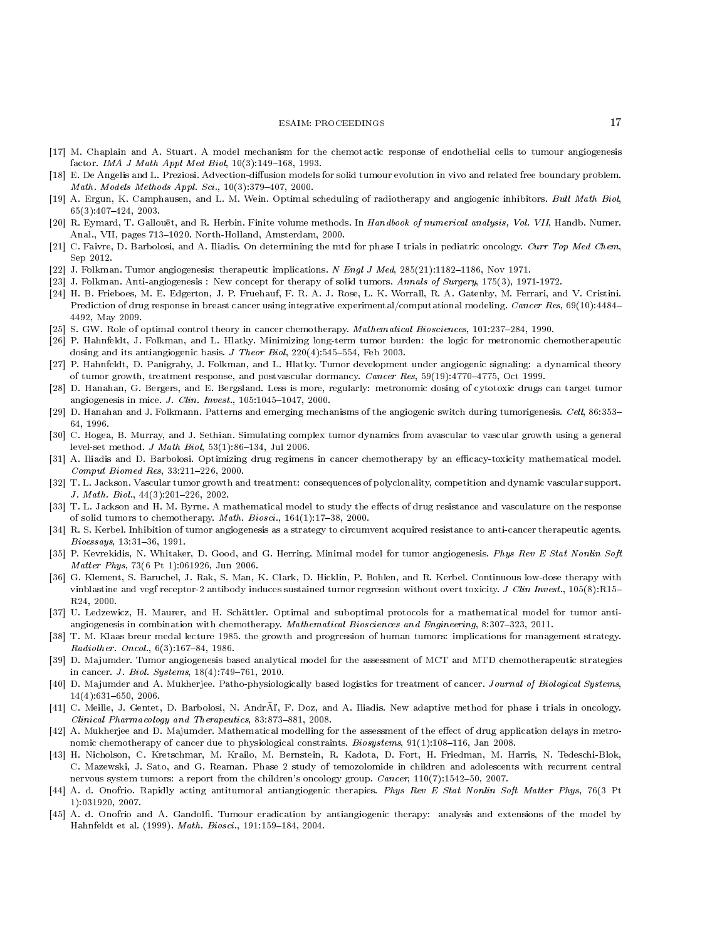- [17] M. Chaplain and A. Stuart. A model mechanism for the chemotactic response of endothelial cells to tumour angiogenesis factor. IMA J Math Appl Med Biol,  $10(3):149-168$ , 1993.
- [18] E. De Angelis and L. Preziosi. Advection-diffusion models for solid tumour evolution in vivo and related free boundary problem. Math. Models Methods Appl. Sci.,  $10(3):379-407$ , 2000.
- [19] A. Ergun, K. Camphausen, and L. M. Wein. Optimal scheduling of radiotherapy and angiogenic inhibitors. Bull Math Biol,  $65(3):407-424$ , 2003.
- [20] R. Eymard, T. Gallouët, and R. Herbin. Finite volume methods. In Handbook of numerical analysis, Vol. VII, Handb. Numer. Anal., VII, pages 713-1020. North-Holland, Amsterdam, 2000.
- [21] C. Faivre, D. Barbolosi, and A. Iliadis. On determining the mtd for phase I trials in pediatric oncology. Curr Top Med Chem, Sep 2012.
- [22] J. Folkman. Tumor angiogenesis: therapeutic implications. N Engl J Med,  $285(21):1182-1186$ , Nov 1971.
- [23] J. Folkman. Anti-angiogenesis : New concept for therapy of solid tumors. Annals of Surgery, 175(3), 1971-1972.
- [24] H. B. Frieboes, M. E. Edgerton, J. P. Fruehauf, F. R. A. J. Rose, L. K. Worrall, R. A. Gatenby, M. Ferrari, and V. Cristini. Prediction of drug response in breast cancer using integrative experimental/computational modeling. Cancer Res, 69(10):4484-4492, May 2009.
- [25] S. GW. Role of optimal control theory in cancer chemotherapy. Mathematical Biosciences, 101:237-284, 1990.
- [26] P. Hahnfeldt, J. Folkman, and L. Hlatky. Minimizing long-term tumor burden: the logic for metronomic chemotherapeutic dosing and its antiangiogenic basis. J Theor Biol,  $220(4):545-554$ , Feb 2003.
- [27] P. Hahnfeldt, D. Panigrahy, J. Folkman, and L. Hlatky. Tumor development under angiogenic signaling: a dynamical theory of tumor growth, treatment response, and postvascular dormancy. Cancer Res, 59(19):4770-4775, Oct 1999.
- [28] D. Hanahan, G. Bergers, and E. Bergsland. Less is more, regularly: metronomic dosing of cytotoxic drugs can target tumor angiogenesis in mice. J. Clin. Invest.,  $105:1045-1047$ , 2000.
- [29] D. Hanahan and J. Folkmann. Patterns and emerging mechanisms of the angiogenic switch during tumorigenesis. Cell, 86:353-64, 1996.
- [30] C. Hogea, B. Murray, and J. Sethian. Simulating complex tumor dynamics from avascular to vascular growth using a general level-set method. *J Math Biol*,  $53(1):86-134$ , Jul 2006.
- [31] A. Iliadis and D. Barbolosi. Optimizing drug regimens in cancer chemotherapy by an efficacy-toxicity mathematical model.  $Comput~Biomed~Res, 33:211-226, 2000.$
- [32] T. L. Jackson. Vascular tumor growth and treatment: consequences of polyclonality, competition and dynamic vascular support. J. Math. Biol., 44(3):201-226, 2002.
- [33] T. L. Jackson and H. M. Byrne. A mathematical model to study the effects of drug resistance and vasculature on the response of solid tumors to chemotherapy. Math. Biosci.,  $164(1)$ :17-38, 2000.
- [34] R. S. Kerbel. Inhibition of tumor angiogenesis as a strategy to circumvent acquired resistance to anti-cancer therapeutic agents. Bioessays, 13:31-36, 1991.
- [35] P. Kevrekidis, N. Whitaker, D. Good, and G. Herring. Minimal model for tumor angiogenesis. Phys Rev E Stat Nonlin Soft Matter Phys, 73(6 Pt 1):061926, Jun 2006.
- [36] G. Klement, S. Baruchel, J. Rak, S. Man, K. Clark, D. Hicklin, P. Bohlen, and R. Kerbel. Continuous low-dose therapy with vinblastine and vegf receptor-2 antibody induces sustained tumor regression without overt toxicity. J Clin Invest., 105(8):R15-R24, 2000.
- [37] U. Ledzewicz, H. Maurer, and H. Schättler. Optimal and suboptimal protocols for a mathematical model for tumor antiangiogenesis in combination with chemotherapy. Mathematical Biosciences and Engineering, 8:307-323, 2011.
- [38] T. M. Klaas breur medal lecture 1985. the growth and progression of human tumors: implications for management strategy. Radiother. Oncol.,  $6(3):167-84$ , 1986.
- [39] D. Majumder. Tumor angiogenesis based analytical model for the assessment of MCT and MTD chemotherapeutic strategies in cancer. *J. Biol. Systems*,  $18(4)$ :749-761, 2010.
- [40] D. Majumder and A. Mukherjee. Patho-physiologically based logistics for treatment of cancer. Journal of Biological Systems,  $14(4):631-650, 2006.$
- [41] C. Meille, J. Gentet, D. Barbolosi, N. AndrÂľ, F. Doz, and A. Iliadis. New adaptive method for phase i trials in oncology. Clinical Pharmacology and Therapeutics, 83:873-881, 2008.
- [42] A. Mukherjee and D. Majumder. Mathematical modelling for the assessment of the effect of drug application delays in metronomic chemotherapy of cancer due to physiological constraints. *Biosystems*,  $91(1):108-116$ , Jan 2008.
- [43] H. Nicholson, C. Kretschmar, M. Krailo, M. Bernstein, R. Kadota, D. Fort, H. Friedman, M. Harris, N. Tedeschi-Blok, C. Mazewski, J. Sato, and G. Reaman. Phase 2 study of temozolomide in children and adolescents with recurrent central nervous system tumors: a report from the children's oncology group. Cancer, 110(7):1542-50, 2007.
- [44] A. d. Onofrio. Rapidly acting antitumoral antiangiogenic therapies. Phys Rev E Stat Nonlin Soft Matter Phys, 76(3 Pt 1):031920, 2007.
- [45] A. d. Onofrio and A. Gandolfi. Tumour eradication by antiangiogenic therapy: analysis and extensions of the model by Hahnfeldt et al. (1999). Math. Biosci., 191:159-184, 2004.